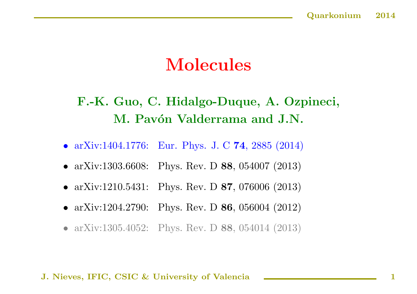# Molecules

## F.-K. Guo, C. Hidalgo-Duque, A. Ozpineci, M. Pavón Valderrama and J.N.

- arXiv:1404.1776: Eur. Phys. J. C 74, 2885 (2014)
- arXiv:1303.6608: Phys. Rev. D 88, 054007 (2013)
- arXiv:1210.5431: Phys. Rev. D 87, 076006 (2013)
- arXiv:1204.2790: Phys. Rev. D 86, 056004 (2012)
- arXiv:1305.4052: Phys. Rev. D 88, 054014 (2013)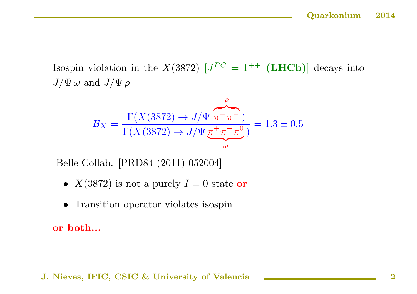Isospin violation in the  $X(3872)$   $J^{PC} = 1^{++}$  (LHCb) decays into  $J/\Psi \omega$  and  $J/\Psi \rho$ 

$$
\mathcal{B}_X = \frac{\Gamma(X(3872) \to J/\Psi \pi^+ \pi^-)}{\Gamma(X(3872) \to J/\Psi \pi^+ \pi^- \pi^0)} = 1.3 \pm 0.5
$$

Belle Collab. [PRD84 (2011) 052004]

- $X(3872)$  is not a purely  $I=0$  state or
- Transition operator violates isospin

or both...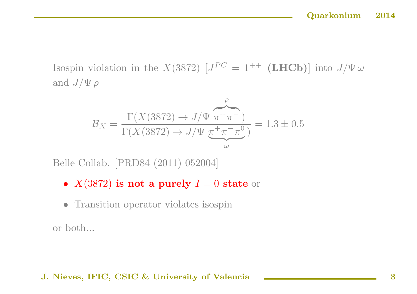Isospin violation in the X(3872)  $[J^{PC} = 1^{++}$  (LHCb)] into  $J/\Psi \omega$ and  $J/\Psi \rho$ 

$$
\mathcal{B}_X = \frac{\Gamma(X(3872) \to J/\Psi \pi^+ \pi^-)}{\Gamma(X(3872) \to J/\Psi \pi^+ \pi^- \pi^0)} = 1.3 \pm 0.5
$$

Belle Collab. [PRD84 (2011) 052004]

- $X(3872)$  is not a purely  $I=0$  state or
- Transition operator violates isospin

or both...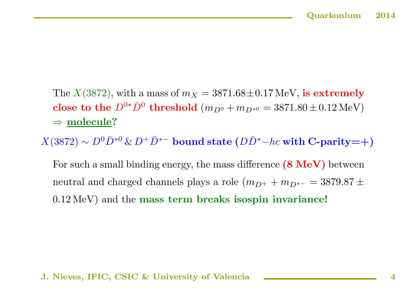The  $X(3872)$ , with a mass of  $m_X = 3871.68 \pm 0.17$  MeV, is extremely close to the  $D^{0*}\bar{D}^0$  threshold  $(m_{D^0} + m_{D^{*0}} = 3871.80 \pm 0.12 \,\text{MeV})$  $\Rightarrow$  molecule?

 $X(3872) \sim D^0 \bar{D}^{*0} \& D^+ \bar{D}^{*-}$  bound state  $(D\bar{D}^* - hc$  with C-parity=+)

For such a small binding energy, the mass difference  $(8 \text{ MeV})$  between neutral and charged channels plays a role  $(m_{D^{+}} + m_{D^{*-}} = 3879.87 \pm$ <sup>0</sup>.<sup>12</sup> MeV) and the mass term breaks isospin invariance!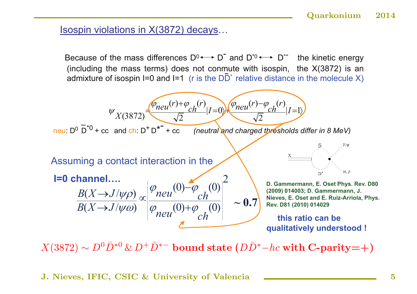### Isospin violations in X(3872) decays…

Because of the mass differences  $D^0 \longleftrightarrow D^-$  and  $D^{*0} \longleftrightarrow D^{*-}$  the kinetic energy (including the mass terms) does not conmute with isospin, the X(3872) is an admixture of isospin I=0 and I=1 (r is the  $D\overline{D}^*$  relative distance in the molecule X)



 $X(3872) \sim D^0 \bar{D}^{*0} \& D^+ \bar{D}^{*-}$  bound state  $(D\bar{D}^* - hc$  with C-parity=+)

J. Nieves, IFIC, CSIC & University of Valencia **Fig. 1. 1998** 15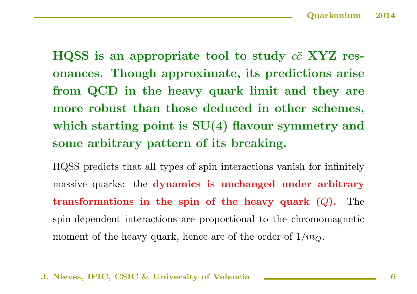HQSS is an appropriate tool to study  $c\bar{c}$  XYZ resonances. Though approximate, its predictions arise from QCD in the heavy quark limit and they are more robust than those deduced in other schemes, which starting point is  $SU(4)$  flavour symmetry and some arbitrary pattern of its breaking.

HQSS predicts that all types of spin interactions vanish for infinitely massive quarks: the dynamics is unchanged under arbitrary transformations in the spin of the heavy quark  $(Q)$ . The spin-dependent interactions are proportional to the chromomagnetic moment of the heavy quark, hence are of the order of  $1/m_Q$ .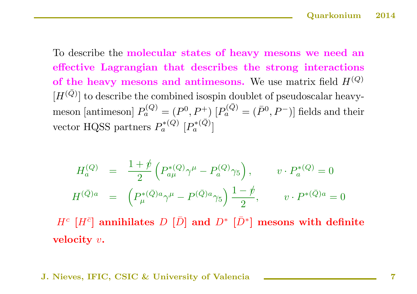To describe the molecular states of heavy mesons we need an effective Lagrangian that describes the strong interactions of the heavy mesons and antimesons. We use matrix field  $H^{(Q)}$  $[H<sup>(\bar{Q})</sup>]$  to describe the combined isospin doublet of pseudoscalar heavymeson [antimeson]  $P_a^{(Q)} = (P^0, P^+)$   $[P_a^{(\bar{Q})} = (\bar{P}^0, P^-)]$  fields and their vector HQSS partners  $P_a^{*(Q)}$   $[P_a^{*(\bar{Q})}]$ 

$$
H_a^{(Q)} = \frac{1+\psi}{2} \left( P_{a\mu}^{*(Q)} \gamma^{\mu} - P_a^{(Q)} \gamma_5 \right), \qquad v \cdot P_a^{*(Q)} = 0
$$
  

$$
H^{(\bar{Q})a} = \left( P_{\mu}^{*(\bar{Q})a} \gamma^{\mu} - P^{(\bar{Q})a} \gamma_5 \right) \frac{1-\psi}{2}, \qquad v \cdot P^{*(\bar{Q})a} = 0
$$

 $H^c$  [H<sup> $\bar{c}$ </sup>] annihilates D [D̄] and D<sup>\*</sup> [D<sup>\*</sup>] mesons with definite velocity  $v$ .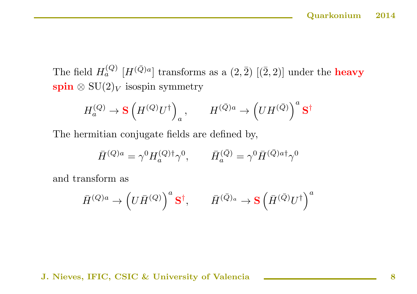The field  $H_a^{(Q)}$  [ $H^{(\bar{Q})a}$ ] transforms as a  $(2,\bar{2})$  [ $(\bar{2},2)$ ] under the **heavy** spin  $\otimes$  SU(2)<sub>V</sub> isospin symmetry

$$
H_a^{(Q)} \to \mathbf{S} \left( H^{(Q)} U^{\dagger} \right)_a, \qquad H^{(\bar{Q})a} \to \left( U H^{(\bar{Q})} \right)^a \mathbf{S}^{\dagger}
$$

The hermitian conjugate fields are defined by,

$$
\bar{H}^{(Q)a} = \gamma^0 H_a^{(Q)\dagger} \gamma^0, \qquad \bar{H}_a^{(\bar{Q})} = \gamma^0 \bar{H}^{(\bar{Q})a\dagger} \gamma^0
$$

and transform as

$$
\bar{H}^{(Q)a} \rightarrow \left(U\bar{H}^{(Q)}\right)^a \mathbf{S}^\dagger, \qquad \bar{H}^{(\bar{Q})_a} \rightarrow \mathbf{S} \left(\bar{H}^{(\bar{Q})}U^\dagger\right)^a
$$

J. Nieves, IFIC, CSIC & University of Valencia **Election Contract Contract Contract Contract Contract Contract Contract Contract Contract Contract Contract Contract Contract Contract Contract Contract Contract Contract Con**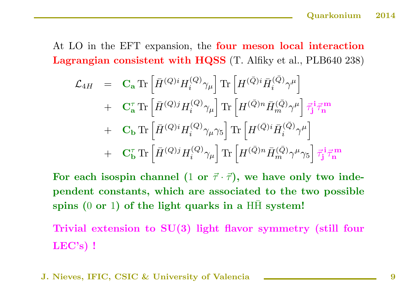At LO in the EFT expansion, the **four meson local interaction** Lagrangian consistent with HQSS (T. Alfiky et al., PLB640 238)

$$
\begin{array}{lll} {\cal L}_{4H} & = & \mathbf{C_a} \, \text{Tr} \left[ \bar{H}^{(Q)i} H_i^{(Q)} \gamma_\mu \right] \text{Tr} \left[ H^{(\bar{Q})i} \bar{H}_i^{(\bar{Q})} \gamma^\mu \right] \\[0.2cm] & + & \mathbf{C_a^{\tau}} \, \text{Tr} \left[ \bar{H}^{(Q)j} H_i^{(Q)} \gamma_\mu \right] \text{Tr} \left[ H^{(\bar{Q})n} \bar{H}_m^{(\bar{Q})} \gamma^\mu \right] \vec{\tau}_{\mathbf{j}}^{\mathbf{i} \mathbf{i} \mathbf{m}} \\[0.2cm] & + & \mathbf{C_b} \, \text{Tr} \left[ \bar{H}^{(Q)i} H_i^{(Q)} \gamma_\mu \gamma_5 \right] \text{Tr} \left[ H^{(\bar{Q})i} \bar{H}_i^{(\bar{Q})} \gamma^\mu \right] \\[0.2cm] & + & \mathbf{C_b^{\tau}} \, \text{Tr} \left[ \bar{H}^{(Q)j} H_i^{(Q)} \gamma_\mu \right] \text{Tr} \left[ H^{(\bar{Q})n} \bar{H}_m^{(\bar{Q})} \gamma^\mu \gamma_5 \right] \vec{\tau}_{\mathbf{j}}^{\mathbf{i} \mathbf{i} \mathbf{m}} \end{array}
$$

For each isospin channel (1 or  $\vec{\tau} \cdot \vec{\tau}$ ), we have only two independent constants, which are associated to the two possible spins  $(0 \text{ or } 1)$  of the light quarks in a HH system!

Trivial extension to SU(3) light flavor symmetry (still four LEC's) !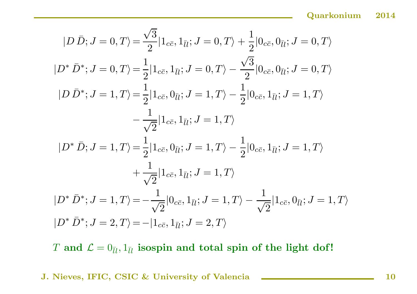$$
|D \bar{D}; J = 0, T\rangle = \frac{\sqrt{3}}{2} |1_{c\bar{c}}, 1_{\bar{l}l}; J = 0, T\rangle + \frac{1}{2} |0_{c\bar{c}}, 0_{\bar{l}l}; J = 0, T\rangle
$$
  
\n
$$
|D^* \bar{D}^*; J = 0, T\rangle = \frac{1}{2} |1_{c\bar{c}}, 1_{\bar{l}l}; J = 0, T\rangle - \frac{\sqrt{3}}{2} |0_{c\bar{c}}, 0_{\bar{l}l}; J = 0, T\rangle
$$
  
\n
$$
|D \bar{D}^*; J = 1, T\rangle = \frac{1}{2} |1_{c\bar{c}}, 0_{\bar{l}l}; J = 1, T\rangle - \frac{1}{2} |0_{c\bar{c}}, 1_{\bar{l}l}; J = 1, T\rangle
$$
  
\n
$$
-\frac{1}{\sqrt{2}} |1_{c\bar{c}}, 1_{\bar{l}l}; J = 1, T\rangle
$$
  
\n
$$
|D^* \bar{D}; J = 1, T\rangle = \frac{1}{2} |1_{c\bar{c}}, 0_{\bar{l}l}; J = 1, T\rangle - \frac{1}{2} |0_{c\bar{c}}, 1_{\bar{l}l}; J = 1, T\rangle
$$
  
\n
$$
+\frac{1}{\sqrt{2}} |1_{c\bar{c}}, 1_{\bar{l}l}; J = 1, T\rangle
$$
  
\n
$$
|D^* \bar{D}^*; J = 1, T\rangle = -\frac{1}{\sqrt{2}} |0_{c\bar{c}}, 1_{\bar{l}l}; J = 1, T\rangle - \frac{1}{\sqrt{2}} |1_{c\bar{c}}, 0_{\bar{l}l}; J = 1, T\rangle
$$
  
\n
$$
|D^* \bar{D}^*; J = 2, T\rangle = -|1_{c\bar{c}}, 1_{\bar{l}l}; J = 2, T\rangle
$$

T and  $\mathcal{L} = 0_{\bar{l}l}, 1_{\bar{l}l}$  isospin and total spin of the light dof!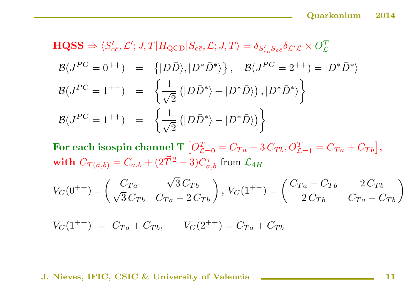$$
\begin{aligned}\n\mathbf{HQSS} &\Rightarrow \langle S'_{c\bar{c}}, \mathcal{L}'; J, T | H_{\text{QCD}} | S_{c\bar{c}}, \mathcal{L}; J, T \rangle = \delta_{S'_{c\bar{c}}} \delta_{\mathcal{L}'\mathcal{L}} \times O_{\mathcal{L}}^T \\
\mathcal{B}(J^{PC} = 0^{++}) &= \{ |D\bar{D}\rangle, |D^*\bar{D}^*\rangle \}, \quad \mathcal{B}(J^{PC} = 2^{++}) = |D^*\bar{D}^*\rangle \\
\mathcal{B}(J^{PC} = 1^{+-}) &= \left\{ \frac{1}{\sqrt{2}} \left( |D\bar{D}^*\rangle + |D^*\bar{D}\rangle \right), |D^*\bar{D}^*\rangle \right\} \\
\mathcal{B}(J^{PC} = 1^{++}) &= \left\{ \frac{1}{\sqrt{2}} \left( |D\bar{D}^*\rangle - |D^*\bar{D}\rangle \right) \right\}\n\end{aligned}
$$

For each isospin channel T  $\left[ O^T_{\mathcal{L}=0} = C_{Ta} - 3 \, C_{Tb} , O^T_{\mathcal{L}=1} = C_{Ta} + C_{Tb} \right]$  ,  $\textbf{with}\hspace{0.1cm} C_{T(a,b)}=C_{a,b}+(2\vec{T}^{\,2}-3)C_{a,b}^{\tau}\hspace{0.1cm}\text{from}\hspace{0.1cm}\mathcal{L}_{4H}$ 

$$
V_C(0^{++}) = \begin{pmatrix} C_{Ta} & \sqrt{3} C_{Tb} \\ \sqrt{3} C_{Tb} & C_{Ta} - 2 C_{Tb} \end{pmatrix}, V_C(1^{+-}) = \begin{pmatrix} C_{Ta} - C_{Tb} & 2 C_{Tb} \\ 2 C_{Tb} & C_{Ta} - C_{Tb} \end{pmatrix}
$$

 $V_C(1^{++}) = C_{Ta} + C_{Tb}$ ,  $V_C(2^{++}) = C_{Ta} + C_{Tb}$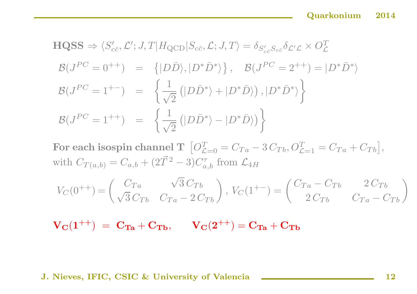$$
\begin{aligned}\n\text{HQSS} &\Rightarrow \langle S'_{c\bar{c}}, \mathcal{L}'; J, T | H_{\text{QCD}} | S_{c\bar{c}}, \mathcal{L}; J, T \rangle = \delta_{S'_{c\bar{c}}} \delta_{\mathcal{L}'\mathcal{L}} \times O_{\mathcal{L}}^T \\
\mathcal{B}(J^{PC} = 0^{++}) &= \{ |D\bar{D}\rangle, |D^*\bar{D}^*\rangle \}, \quad \mathcal{B}(J^{PC} = 2^{++}) = |D^*\bar{D}^*\rangle \\
\mathcal{B}(J^{PC} = 1^{+-}) &= \left\{ \frac{1}{\sqrt{2}} \left( |D\bar{D}^*\rangle + |D^*\bar{D}\rangle \right), |D^*\bar{D}^*\rangle \right\} \\
\mathcal{B}(J^{PC} = 1^{++}) &= \left\{ \frac{1}{\sqrt{2}} \left( |D\bar{D}^*\rangle - |D^*\bar{D}\rangle \right) \right\}\n\end{aligned}
$$

 ${\bf For\ each\ isospin\ channel\ T\ \ \left[ O_{{\cal L}=0}^{T}=C_{Ta}-3\,C_{Tb},O_{{\cal L}=1}^{T}=C_{Ta}+C_{Tb}\right] },$ with  $C_{T(a,b)}=C_{a,b}+(2\vec{T}^{\,2}-3)C^{\tau}_{a,b}$  from  $\mathcal{L}_{4H}$ 

$$
V_C(0^{++}) = \begin{pmatrix} C_{Ta} & \sqrt{3} C_{Tb} \\ \sqrt{3} C_{Tb} & C_{Ta} - 2 C_{Tb} \end{pmatrix}, V_C(1^{+-}) = \begin{pmatrix} C_{Ta} - C_{Tb} & 2 C_{Tb} \\ 2 C_{Tb} & C_{Ta} - C_{Tb} \end{pmatrix}
$$

 $V_{C}(1^{++}) = C_{Ta} + C_{Tb}$ ,  $V_{C}(2^{++}) = C_{Ta} + C_{Tb}$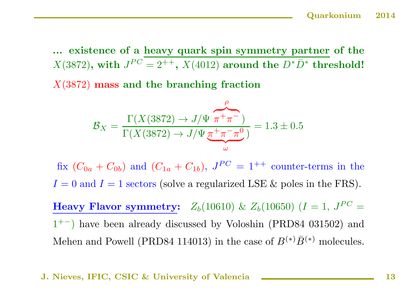... existence of <sup>a</sup> heavy quark spin symmetry partner of the  $X(3872)$ , with  $J^{PC} = 2^{++}$ ,  $X(4012)$  around the  $D^*\bar{D}^*$  threshold!

 $X(3872)$  mass and the branching fraction

$$
\mathcal{B}_X = \frac{\Gamma(X(3872) \to J/\Psi \pi^+ \pi^-)}{\Gamma(X(3872) \to J/\Psi \pi^+ \pi^- \pi^0)} = 1.3 \pm 0.5
$$

fix  $(C_{0a} + C_{0b})$  and  $(C_{1a} + C_{1b})$ ,  $J^{PC} = 1^{++}$  counter-terms in the  $I = 0$  and  $I = 1$  sectors (solve a regularized LSE & poles in the FRS).

**Heavy Flavor symmetry:**  $Z_b(10610) \& Z_b(10650) (I = 1, J^{PC} =$  $1^{+-}$ ) have been already discussed by Voloshin (PRD84 031502) and Mehen and Powell (PRD84 114013) in the case of  $B^{(*)}\bar{B}^{(*)}$  molecules.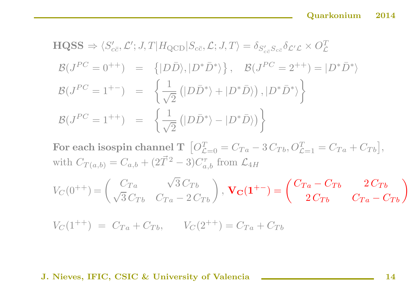$$
\begin{aligned}\n\text{HQSS} &\Rightarrow \langle S'_{c\bar{c}}, \mathcal{L}'; J, T | H_{\text{QCD}} | S_{c\bar{c}}, \mathcal{L}; J, T \rangle = \delta_{S'_{c\bar{c}}} S_{c'\bar{c}} \delta_{\mathcal{L}'\mathcal{L}} \times O_{\mathcal{L}}^T \\
\mathcal{B}(J^{PC} = 0^{++}) &= \{ |D\bar{D}\rangle, |D^*\bar{D}^*\rangle \}, \quad \mathcal{B}(J^{PC} = 2^{++}) = |D^*\bar{D}^*\rangle \\
\mathcal{B}(J^{PC} = 1^{+-}) &= \left\{ \frac{1}{\sqrt{2}} \left( |D\bar{D}^*\rangle + |D^*\bar{D}\rangle \right), |D^*\bar{D}^*\rangle \right\} \\
\mathcal{B}(J^{PC} = 1^{++}) &= \left\{ \frac{1}{\sqrt{2}} \left( |D\bar{D}^*\rangle - |D^*\bar{D}\rangle \right) \right\}\n\end{aligned}
$$

 ${\bf For\ each\ isospin\ channel\ T\ \ \left[ O_{{\cal L}=0}^{T}=C_{Ta}-3\,C_{Tb},O_{{\cal L}=1}^{T}=C_{Ta}+C_{Tb}\right] },$ with  $C_{T(a,b)}=C_{a,b}+(2\vec{T}^{\,2}-3)C^{\tau}_{a,b}$  from  $\mathcal{L}_{4H}$ 

$$
V_C(0^{++}) = \begin{pmatrix} C_{Ta} & \sqrt{3} C_{Tb} \\ \sqrt{3} C_{Tb} & C_{Ta} - 2 C_{Tb} \end{pmatrix}, \mathbf{V_C(1^{+-})} = \begin{pmatrix} C_{Ta} - C_{Tb} & 2 C_{Tb} \\ 2 C_{Tb} & C_{Ta} - C_{Tb} \end{pmatrix}
$$

 $V_C(1^{++}) = C_{Ta} + C_{Tb}$ ,  $V_C(2^{++}) = C_{Ta} + C_{Tb}$ 

J. Nieves, IFIC, CSIC & University of Valencia **National Contract Contract Contract Contract Contract Contract Contract Contract Contract Contract Contract Contract Contract Contract Contract Contract Contract Contract Con**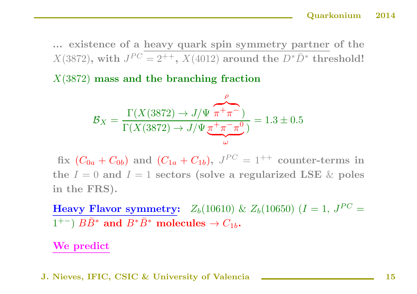... existence of <sup>a</sup> heavy quark spin symmetry partner of the  $X(3872)$ , with  $J^{PC} = 2^{++}$ ,  $X(4012)$  around the  $D^*\bar{D}^*$  threshold!

 $X(3872)$  mass and the branching fraction

$$
\mathcal{B}_X = \frac{\Gamma(X(3872) \to J/\Psi \overbrace{\pi^+\pi^-})}{\Gamma(X(3872) \to J/\Psi \overbrace{\pi^+\pi^-\pi^0}^{\omega})} = 1.3 \pm 0.5
$$

fix  $(C_{0a} + C_{0b})$  and  $(C_{1a} + C_{1b})$ ,  $J^{PC} = 1^{++}$  counter-terms in the  $I = 0$  and  $I = 1$  sectors (solve a regularized LSE  $\&$  poles in the FRS).

Heavy Flavor symmetry:  $Z_b(10610) \& Z_b(10650)$  (I = 1,  $J^{PC}$  =  $(1^{+-})$   $B\bar{B}^*$  and  $B^*\bar{B}^*$  molecules  $\rightarrow C_{1b}$ .

We predict

J. Nieves, IFIC, CSIC & University of Valencia **National 15** 15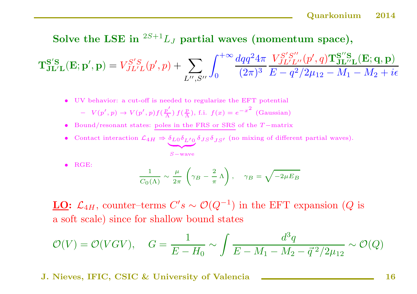## Solve the LSE in  ${}^{2S+1}L_J$  partial waves (momentum space),

 $\mathbf{T_{JL'L}^{S'S}}(\mathbf{E}; \mathbf{p}', \mathbf{p}) = V_{JL'L}^{S'S}(p', p) + \sum_{\mathbf{p}'} \mathbf{p}^{\mathbf{p}'}(\mathbf{p}', \mathbf{p}')^2$  $\sum_{L'',S''}\int_{0}^{+\infty} \frac{dqq^2 4\pi}{(2\pi)^3} \frac{V_{J L' L''}^{S'S''}(p',q) \mathbf{T_{J L'' L}^{S''S}}(\mathbf{E};\mathbf{q},\mathbf{p})}{E-q^2/2\mu_{12}-M_1-M_2+i\epsilon}$ 

- UV behavior: <sup>a</sup> cut-off is needed to regularize the EFT potential  $- V(p', p) \rightarrow V(p', p) f(\frac{p'}{\Lambda}) f(\frac{p}{\Lambda})$ , f.i.  $f(x) = e^{-x^2}$  (Gaussian)
- Bound/resonant states: poles in the FRS or SRS of the <sup>T</sup> −matrix
- Contact interaction  $\mathcal{L}_{4H} \Rightarrow \delta_{L0}\delta_{L'0}$ <sup>|</sup> {z } S−wave  $\delta_{JS}\delta_{JS'}$  (no mixing of different partial waves).

• RGE:

$$
\frac{1}{C_0(\Lambda)} \sim \frac{\mu}{2\pi} \left( \gamma_B - \frac{2}{\pi} \Lambda \right), \quad \gamma_B = \sqrt{-2\mu E_B}
$$

**LO:**  $\mathcal{L}_{4H}$ , counter–terms  $C's \sim \mathcal{O}(Q^{-1})$  in the EFT expansion (Q is <sup>a</sup> soft scale) since for shallow bound states

$$
\mathcal{O}(V) = \mathcal{O}(VGV), \quad G = \frac{1}{E - H_0} \sim \int \frac{d^3q}{E - M_1 - M_2 - \vec{q}^2/2\mu_{12}} \sim \mathcal{O}(Q)
$$

J. Nieves, IFIC, CSIC & University of Valencia **National Contract Contract Contract Contract Contract Contract Contract Contract Contract Contract Contract Contract Contract Contract Contract Contract Contract Contract Con**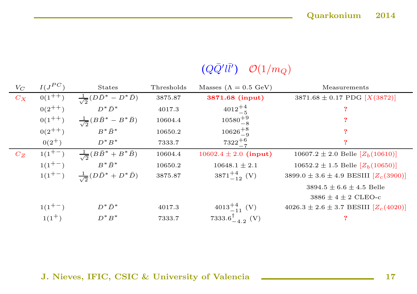## $(Q\bar{Q'}l\bar{l'})$   $\mathcal{O}(1/m_Q)$

| $V_C$   | $I(J^{PC})$ | <b>States</b>                                 | Thresholds | Masses ( $\Lambda = 0.5$ GeV)  | Measurements                                  |
|---------|-------------|-----------------------------------------------|------------|--------------------------------|-----------------------------------------------|
| $C_X$   | $0(1^{++})$ | $\frac{1}{\sqrt{2}}(D\bar{D}^* - D^*\bar{D})$ | 3875.87    | 3871.68 (input)                | $3871.68 \pm 0.17$ PDG $[X(3872)]$            |
|         | $0(2^{++})$ | $D^*\bar{D}^*$                                | 4017.3     | $4012^{+4}_{-5}$               |                                               |
|         | $0(1^{++})$ | $\frac{1}{\sqrt{2}}(B\bar{B}^* - B^*\bar{B})$ | 10604.4    | $10580^{+9}_{-8}$              |                                               |
|         | $0(2^{++})$ | $B^*\bar{B}^*$                                | 10650.2    | $10626^{+8}_{-9}$              |                                               |
|         | $0(2^+)$    | $D^*B^*$                                      | 7333.7     | $7322^{+6}$                    |                                               |
| $C_{Z}$ | $1(1^{+-})$ | $\frac{1}{\sqrt{2}}(B\bar{B}^* + B^*\bar{B})$ | 10604.4    | $10602.4 \pm 2.0$ (input)      | $10607.2 \pm 2.0$ Belle $[Z_h(10610)]$        |
|         | $1(1^{+-})$ | $B^*\bar{B}^*$                                | 10650.2    | $10648.1 \pm 2.1$              | $10652.2 \pm 1.5$ Belle $[Z_h(10650)]$        |
|         | $1(1^{+-})$ | $\frac{1}{\sqrt{2}}(D\bar{D}^* + D^*\bar{D})$ | 3875.87    | $3871^{+4}_{-12}$ (V)          | 3899.0 ± 3.6 ± 4.9 BESIII $[Z_c(3900)]$       |
|         |             |                                               |            |                                | $3894.5 \pm 6.6 \pm 4.5$ Belle                |
|         |             |                                               |            |                                | $3886 \pm 4 \pm 2$ CLEO-c                     |
|         | $1(1^{+-})$ | $D^*\bar{D}^*$                                | 4017.3     | $4013^{+4}_{-11}$ (V)          | $4026.3 \pm 2.6 \pm 3.7$ BESIII $[Z_c(4020)]$ |
|         | $1(1^+)$    | $D^*B^*$                                      | 7333.7     | 7333.6 $^{\dagger}_{-4.2}$ (V) |                                               |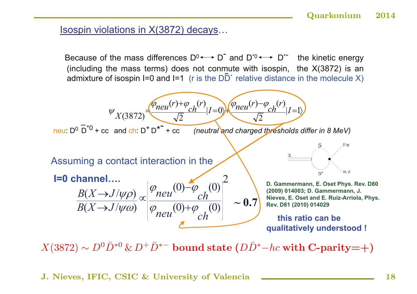### Isospin violations in X(3872) decays…

Because of the mass differences  $D^0 \longleftrightarrow D^-$  and  $D^{*0} \longleftrightarrow D^{*-}$  the kinetic energy (including the mass terms) does not conmute with isospin, the X(3872) is an admixture of isospin I=0 and I=1 (r is the  $D\overline{D}^*$  relative distance in the molecule X)



 $X(3872) \sim D^0 \bar{D}^{*0} \& D^+ \bar{D}^{*-}$  bound state  $(D\bar{D}^* - hc$  with C-parity=+)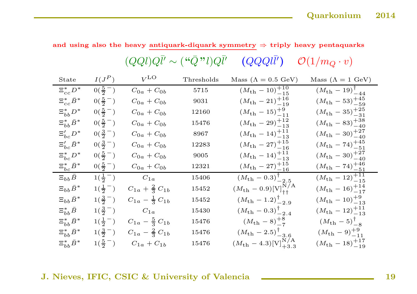and using also the heavy antiquark-diquark symmetry  $\Rightarrow$  triply heavy pentaquarks

|                        |                      | $(QQl)Q\bar{l}'\sim (``\bar{Q}"l)Q\bar{l}'$ |            | $\left(QQQll'\right)$                              | $\mathcal{O}(1/m_Q \cdot v)$            |
|------------------------|----------------------|---------------------------------------------|------------|----------------------------------------------------|-----------------------------------------|
| State                  | $I(J^P)$             | $V^{\text{LO}}$                             | Thresholds | Mass ( $\Lambda = 0.5$ GeV)                        | Mass ( $\Lambda = 1$ GeV)               |
| $\Xi_{cc}^* D^*$       | $0(\frac{5}{2}^{-})$ | $C_{0a} + C_{0b}$                           | 5715       | $(M_{\rm th}-10)^{+10}_{-15}$                      | $(M_{\rm th}-19)^{\dagger}_{-44}$       |
| $\Xi_{cc}^*\bar{B}^*$  | $0(\frac{5}{2}^{-})$ | $C_{0a} + C_{0b}$                           | 9031       | $(M_{\rm th}-21)^{+16}_{-19}$                      | $(M_{\rm th}-53)^{+45}_{-59}$           |
| $\Xi_{bb}^* D^*$       | $0(\frac{5}{2}^{-})$ | $C_{0a} + C_{0b}$                           | 12160      | $(M_{\rm th}-15)^{+9}_{-11}$                       | $(M_{\rm th}-35)^{+25}_{-31}$           |
| $\Xi^*_{bb}\bar{B}^*$  | $0(\frac{5}{2}^{-})$ | $C_{0a} + C_{0b}$                           | 15476      | $(M_{\rm th}-29)^{+12}_{-13}$                      | $(M_{\rm th}-83)^{+38}_{-40}$           |
| $\Xi_{bc}' D^*$        | $0(\frac{3}{2}^{-})$ | $C_{0a} + C_{0b}$                           | 8967       | $(M_{\rm th}-14)^{+11}_{-13}$                      | $(M_{\rm th}-30)_{-40}^{+27}$           |
| $\Xi_{bc}'\bar{B}^*$   | $0(\frac{3}{2}^{-})$ | $C_{0a} + C_{0b}$                           | 12283      | $(M_{\rm th}-27)_{-16}^{+15}$                      | $(M_{\rm th}-74)^{+45}_{-51}$           |
| $\Xi_{bc}^* D^*$       | $0(\frac{5}{2}^{-})$ | $C_{0a} + C_{0b}$                           | 9005       | $(M_{\rm th}-14)^{+11}_{-13}$                      | $(M_{\rm th}-30)^{+27}_{-40}$           |
| $\Xi_{bc}^* \bar{B}^*$ | $0(\frac{5}{2}^{-})$ | $C_{0a} + C_{0b}$                           | 12321      | $(M_{\rm th}-27)_{-16}^{+15}$                      | $(M_{\rm th}-74)^{+46}_{-51}$           |
| $\Xi_{bb}\bar{B}$      | $1(\frac{1}{2}^{-})$ | $C_{1a}$                                    | 15406      | $(M_{\rm th}-0.3)^{\dagger}_{-2.5}$                | $\frac{(M_{\rm th}-12)^{+11}_{-15}}{2}$ |
| $\Xi_{bb}\bar{B}^*$    | $1(\frac{1}{2}^{-})$ | $C_{1a} + \frac{2}{3} C_{1b}$               | 15452      | $(M_{\rm th}-0.9){\rm [V]}_{\rm ++}^{\rm N/A}$     | $(M_{\rm th}-16)^{+14}_{-17}$           |
| $\Xi_{bb}\bar{B}^*$    | $1(\frac{3}{2}^{-})$ | $C_{1a} - \frac{1}{3} C_{1b}$               | 15452      | $(M_{\rm th}-1.2)^{\dagger}_{-2.9}$                | $(M_{\rm th}-10)_{-13}^{+9}$            |
| $\Xi^*_{bb}\bar{B}$    | $1(\frac{3}{2}^{-})$ | $C_{1a}$                                    | 15430      | $(M_{\rm th}-0.3)^{\dagger}_{-2.4}$                | $(M_{\rm th}-12)^{+11}_{-13}$           |
| $\Xi^*_{bb}\bar{B}^*$  | $1(\frac{1}{2}^{-})$ | $C_{1a} - \frac{5}{3} C_{1b}$               | 15476      | $(M_{\rm th} - 8)^{+8}_{-7}$                       | $(M_{\rm th}-5)^{\dagger}_{-8}$         |
| $\Xi^*_{bb}\bar{B}^*$  | $1(\frac{3}{2}^{-})$ | $C_{1a} - \frac{2}{3} C_{1b}$               | 15476      | $(M_{\rm th}-2.5)^{\dagger}_{-3.6}$                | $(M_{\rm th}-9)^{+9}_{-11}$             |
| $\Xi^*_{bb}\bar{B}^*$  | $1(\frac{5}{2}^{-})$ | $C_{1a} + C_{1b}$                           | 15476      | $(M_{\rm th} - 4.3)[\text{V}]_{+3.3}^{\text{N/A}}$ | $(M_{\rm th}-18)^{+17}_{-19}$           |

#### J. Nieves, IFIC, CSIC & University of Valencia **19**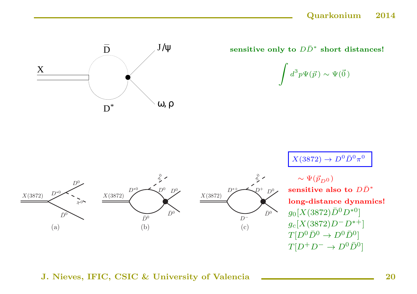

sensitive only to  $D\bar{D}^*$  short distances!

$$
\int d^3p \Psi(\vec{p}) \sim \Psi(\vec{0})
$$

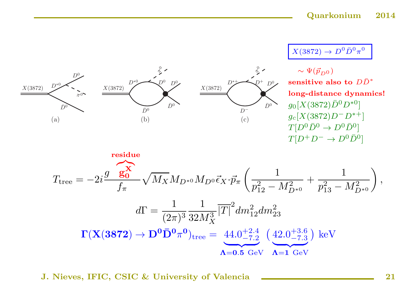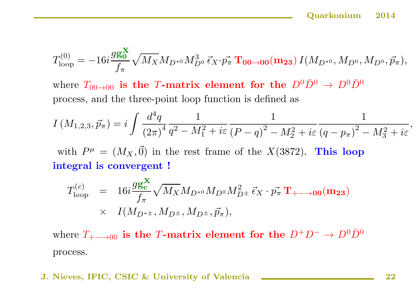$$
T_{\rm loop}^{(0)} = -16 i \frac{g g_0^{\bf X}}{f_\pi} \sqrt{M_X} M_{D^{*0}} M_{D^0}^3 \, \vec{\epsilon}_X \!\cdot\!\vec{p_\pi} \, {\bf T_{00\to 00}} ({\bf m_{23}}) \, I(M_{D^{*0}}, M_{D^0}, M_{D^0}, \vec{p_\pi}),
$$

where  $T_{00\rightarrow00}$  is the T-matrix element for the  $D^0\bar{D}^0 \rightarrow D^0\bar{D}^0$ process, and the three-point loop function is defined as

$$
I\left(M_{1,2,3}, \vec{p}_{\pi}\right) = i \int \frac{d^4q}{\left(2\pi\right)^4} \frac{1}{q^2 - M_1^2 + i\varepsilon} \frac{1}{\left(P - q\right)^2 - M_2^2 + i\varepsilon} \frac{1}{\left(q - p_{\pi}\right)^2 - M_3^2 + i\varepsilon},
$$

with  $P^{\mu} = (M_X, \vec{0})$  in the rest frame of the  $X(3872)$ . This loop integral is convergent !

$$
T_{\text{loop}}^{(c)} = 16i \frac{g\mathbf{g}_c^{\mathbf{X}}}{f_{\pi}} \sqrt{M_X} M_{D^{*0}} M_{D^0} M_{D^{\pm}}^2 \vec{\epsilon}_X \cdot \vec{p_{\pi}} \mathbf{T}_{+-\to 00} (\mathbf{m}_{23})
$$
  
 
$$
\times I(M_{D^{*\pm}}, M_{D^{\pm}}, M_{D^{\pm}}, \vec{p_{\pi}}),
$$

where  $T_{+-\to 00}$  is the T-matrix element for the  $D^+D^- \to D^0\bar{D}^0$ process.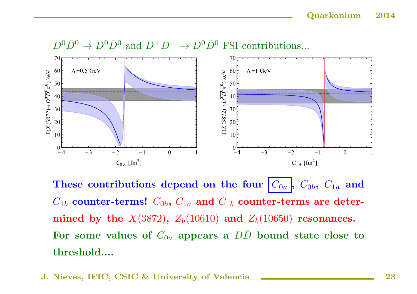

These contributions depend on the four  $|C_{0a}|$ ,  $C_{0b}$ ,  $C_{1a}$  and  $C_{1b}$  counter-terms!  $C_{0b}$ ,  $C_{1a}$  and  $C_{1b}$  counter-terms are determined by the  $X(3872)$ ,  $Z_b(10610)$  and  $Z_b(10650)$  resonances. For some values of  $C_{0a}$  appears a  $D\bar{D}$  bound state close to threshold....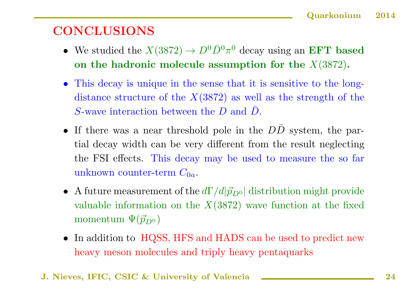## **CONCLUSIONS**

- We studied the  $X(3872) \to D^0 \bar{D}^0 \pi^0$  decay using an **EFT** based on the hadronic molecule assumption for the  $X(3872)$ .
- This decay is unique in the sense that it is sensitive to the longdistance structure of the  $X(3872)$  as well as the strength of the S-wave interaction between the  $D$  and  $\overline{D}$ .
- If there was a near threshold pole in the  $D\bar{D}$  system, the partial decay width can be very different from the result neglecting the FSI effects. This decay may be used to measure the so far unknown counter-term  $C_{0a}$ .
- A future measurement of the  $d\Gamma/d|\vec{p}_{D^0}|$  distribution might provide valuable information on the  $X(3872)$  wave function at the fixed momentum  $\Psi(\vec{p}_{D^0})$
- In addition to HQSS, HFS and HADS can be used to predict new heavy meson molecules and triply heavy pentaquarks
- J. Nieves, IFIC, CSIC & University of Valencia 24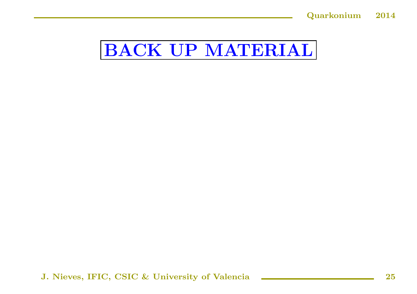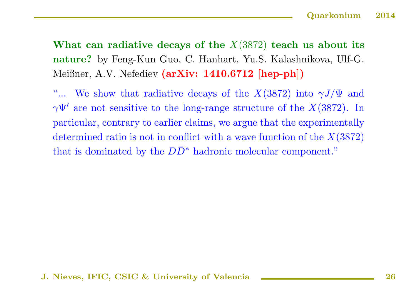What can radiative decays of the  $X(3872)$  teach us about its nature? by Feng-Kun Guo, C. Hanhart, Yu.S. Kalashnikova, Ulf-G. Meißner, A.V. Nefediev (arXiv: 1410.6712 [hep-ph])

"... We show that radiative decays of the  $X(3872)$  into  $\gamma J/\Psi$  and  $\gamma\Psi'$  are not sensitive to the long-range structure of the  $X(3872)$ . In particular, contrary to earlier claims, we argue that the experimentally determined ratio is not in conflict with a wave function of the  $X(3872)$ that is dominated by the  $D\bar{D}^*$  hadronic molecular component."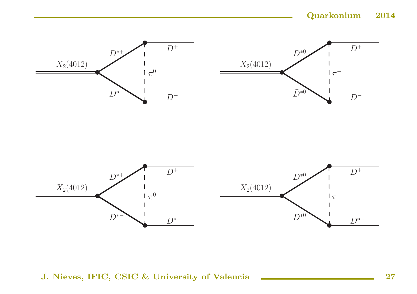

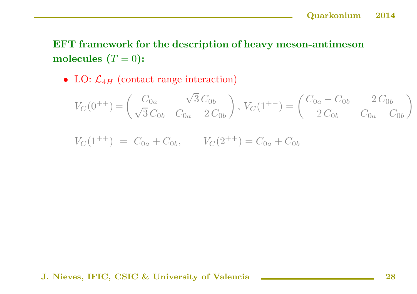## EFT framework for the description of heavy meson-antimeson molecules  $(T = 0)$ :

• LO:  $\mathcal{L}_{4H}$  (contact range interaction)

$$
V_C(0^{++}) = \begin{pmatrix} C_{0a} & \sqrt{3} C_{0b} \\ \sqrt{3} C_{0b} & C_{0a} - 2 C_{0b} \end{pmatrix}, V_C(1^{+-}) = \begin{pmatrix} C_{0a} - C_{0b} & 2 C_{0b} \\ 2 C_{0b} & C_{0a} - C_{0b} \end{pmatrix}
$$

$$
V_C(1^{++}) = C_{0a} + C_{0b}, \qquad V_C(2^{++}) = C_{0a} + C_{0b}
$$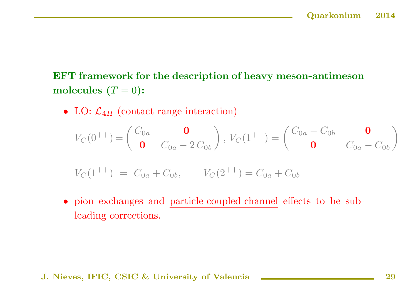EFT framework for the description of heavy meson-antimeson molecules  $(T = 0)$ :

• LO:  $\mathcal{L}_{4H}$  (contact range interaction)

$$
V_C(0^{++}) = \begin{pmatrix} C_{0a} & \mathbf{0} \\ \mathbf{0} & C_{0a} - 2 C_{0b} \end{pmatrix}, V_C(1^{+-}) = \begin{pmatrix} C_{0a} - C_{0b} & \mathbf{0} \\ \mathbf{0} & C_{0a} - C_{0b} \end{pmatrix}
$$
  

$$
V_C(1^{++}) = C_{0a} + C_{0b}, \qquad V_C(2^{++}) = C_{0a} + C_{0b}
$$

• <sup>p</sup>ion exchanges and particle coupled channel effects to be subleading corrections.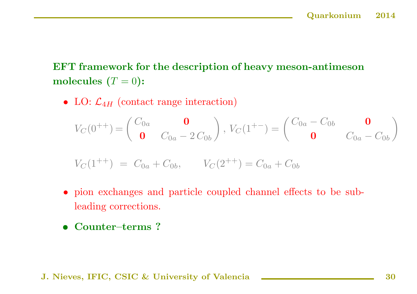EFT framework for the description of heavy meson-antimeson molecules  $(T = 0)$ :

• LO:  $\mathcal{L}_{4H}$  (contact range interaction)

$$
V_C(0^{++}) = \begin{pmatrix} C_{0a} & \mathbf{0} \\ \mathbf{0} & C_{0a} - 2 C_{0b} \end{pmatrix}, V_C(1^{+-}) = \begin{pmatrix} C_{0a} - C_{0b} & \mathbf{0} \\ \mathbf{0} & C_{0a} - C_{0b} \end{pmatrix}
$$

$$
V_C(1^{++}) = C_{0a} + C_{0b}, \qquad V_C(2^{++}) = C_{0a} + C_{0b}
$$

- <sup>p</sup>ion exchanges and particle coupled channel effects to be sub leading corrections.
- Counter–terms ?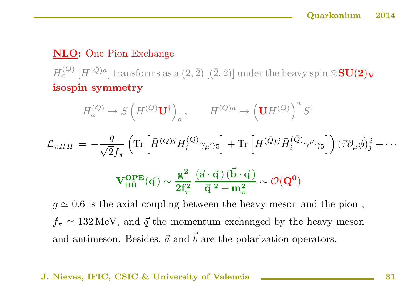## NLO: One Pion Exchange

 $H_a^{(Q)}$  [ $H^{(\bar{Q})a}$ ] transforms as a  $(2,\bar{2})$  [( $\bar{2}, 2$ )] under the heavy spin ⊗SU(2)<sub>V</sub> isospin symmetry

$$
H_a^{(Q)} \to S \left( H^{(Q)} \mathbf{U}^{\dagger} \right)_a, \qquad H^{(\bar{Q})a} \to \left( \mathbf{U} H^{(\bar{Q})} \right)^a S^{\dagger}
$$
  

$$
\mathcal{L}_{\pi HH} = -\frac{g}{\sqrt{2}f_\pi} \left( \text{Tr} \left[ \bar{H}^{(Q)j} H_i^{(Q)} \gamma_\mu \gamma_5 \right] + \text{Tr} \left[ H^{(\bar{Q})j} \bar{H}_i^{(\bar{Q})} \gamma^\mu \gamma_5 \right] \right) (\vec{\tau} \partial_\mu \vec{\phi})^i_j + \cdots
$$
  

$$
\mathbf{V}_{\text{H}\bar{\text{H}}}^{\text{OPE}}(\vec{\mathbf{q}}) \sim \frac{\mathbf{g}^2}{2 \mathbf{f}_\pi^2} \frac{(\vec{\mathbf{a}} \cdot \vec{\mathbf{q}})(\vec{\mathbf{b}} \cdot \vec{\mathbf{q}})}{\vec{\mathbf{q}}^2 + \mathbf{m}_\pi^2} \sim \mathcal{O}(\mathbf{Q}^0)
$$
  
 $g \simeq 0.6$  is the axial coupling between the heavy meson and the pion,

 $f_{\pi} \simeq 132 \,\text{MeV}$ , and  $\vec{q}$  the momentum exchanged by the heavy meson and antimeson. Besides,  $\vec{a}$  and  $\vec{b}$  are the polarization operators.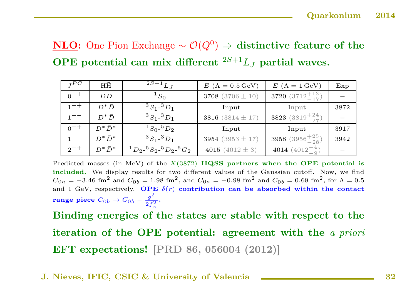## NLO: One Pion Exchange  $\sim \mathcal{O}(Q^0)$  ⇒ distinctive feature of the OPE potential can mix different  ${}^{2S+1}L_J$  partial waves.

| $I^{\mathcal{P}C}$ | $H\bar{H}$     | $2S+1$ <sub>L<sub>J</sub></sub>                               | $E$ ( $\Lambda = 0.5$ GeV) | $E(\Lambda = 1 \,\text{GeV})$    | Exp  |
|--------------------|----------------|---------------------------------------------------------------|----------------------------|----------------------------------|------|
| $0^{++}$           | $D\bar{D}$     | ${}^1S_0$                                                     | 3708 $(3706 \pm 10)$       | 3720 $(3712^{+13}_{-17})$        |      |
| $1 + +$            | $D^*\bar{D}$   | $3S_1 - 3D_1$                                                 | Input                      | Input                            | 3872 |
| $1 + -$            | $D^*\bar{D}$   | ${}^3S_1$ - ${}^3D_1$                                         | 3816 $(3814 \pm 17)$       | <b>3823</b> $(3819^{+24}_{-27})$ |      |
| $0^{++}$           | $D^*\bar{D}^*$ | $1S_0 - 5D_2$                                                 | Input                      | Input                            | 3917 |
| $1^{+-}$           | $D^*\bar{D}^*$ | ${}^3S_1$ - ${}^3D_1$                                         | 3954 (3953 $\pm$ 17)       | 3958 $(3956 + \frac{25}{28})$    | 3942 |
| $2^{++}$           | $D^*\bar{D}^*$ | ${}^{1}D_{2}$ - ${}^{5}S_{2}$ - ${}^{5}D_{2}$ - ${}^{5}G_{2}$ | 4015 $(4012 \pm 3)$        | 4014 $(4012^{+4}_{-9})$          |      |

Predicted masses (in MeV) of the  $X(3872)$  HQSS partners when the OPE potential is included. We display results for two different values of the Gaussian cutoff. Now, we find  $C_{0a} = -3.46$  fm<sup>2</sup> and  $C_{0b} = 1.98$  fm<sup>2</sup>, and  $C_{0a} = -0.98$  fm<sup>2</sup> and  $C_{0b} = 0.69$  fm<sup>2</sup>, for  $\Lambda = 0.5$ and 1 GeV, respectively. OPE  $\delta(r)$  contribution can be absorbed within the contact range piece  $C_{0b} \rightarrow C_{0b} - \frac{g^2}{2f^2}$ .

Binding energies of the states are stable with respect to the iteration of the OPE potential: agreement with the <sup>a</sup> priori EFT expectations! [PRD 86, <sup>056004</sup> (2012)]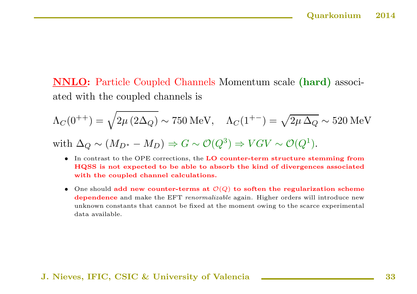NNLO: Particle Coupled Channels Momentum scale (hard) associated with the coupled channels is

$$
\Lambda_C(0^{++}) = \sqrt{2\mu (2\Delta_Q)} \sim 750 \text{ MeV}, \quad \Lambda_C(1^{+-}) = \sqrt{2\mu \Delta_Q} \sim 520 \text{ MeV}
$$
  
with  $\Delta_Q \sim (M_{D^*} - M_D) \Rightarrow G \sim \mathcal{O}(Q^3) \Rightarrow VGV \sim \mathcal{O}(Q^1).$ 

- In contrast to the OPE corrections, the LO counter-term structure stemming from HQSS is not expected to be able to absorb the kind of divergences associated with the coupled channel calculations.
- One should add new counter-terms at  $\mathcal{O}(Q)$  to soften the regularization scheme dependence and make the EFT *renormalizable* again. Higher orders will introduce new unknown constants that cannot be fixed at the moment owing to the scarce experimental data available.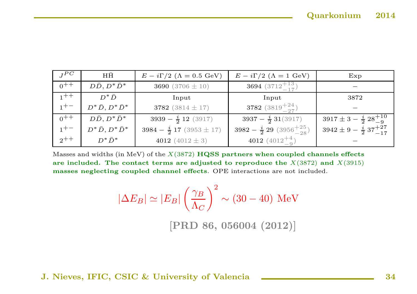| $I^{PC}$ | $H\bar{H}$                 | $E - i\Gamma/2$ ( $\Lambda = 0.5$ GeV) | $E - i\Gamma/2$ ( $\Lambda = 1$ GeV)       | Exp                                       |
|----------|----------------------------|----------------------------------------|--------------------------------------------|-------------------------------------------|
| $0^{++}$ | $D\bar{D}, D^*\bar{D}^*$   | 3690 $(3706 \pm 10)$                   | <b>3694</b> $(3712^{+13}_{-17})$           |                                           |
| $1 + +$  | $D^*\bar{D}$               | Input                                  | Input                                      | 3872                                      |
| $1^{+-}$ | $D^*\bar{D}, D^*\bar{D}^*$ | 3782 $(3814 \pm 17)$                   | 3782 $(3819^{+24}_{-27})$                  |                                           |
| $0^{++}$ | $D\bar{D}, D^*\bar{D}^*$   | $3939 - \frac{i}{2} 12 (3917)$         | $3937 - \frac{i}{2}31(3917)$               | $3917 \pm 3 - \frac{i}{2} 28^{+10}_{-9}$  |
| $1^{+-}$ | $D^*\bar{D}, D^*\bar{D}^*$ | $3984 - \frac{i}{2} 17 (3953 \pm 17)$  | $3982 - \frac{i}{2} 29 (3956^{+25}_{-28})$ | $3942 \pm 9 - \frac{i}{2} 37^{+27}_{-17}$ |
| $2^{++}$ | $D^*\bar{D}^*$             | 4012 $(4012 \pm 3)$                    | 4012 $(4012^{+4}_{-9})$                    |                                           |

Masses and widths (in MeV) of the  $X(3872)$  HQSS partners when coupled channels effects are included. The contact terms are adjusted to reproduce the  $X(3872)$  and  $X(3915)$ masses neglecting coupled channel effects. OPE interactions are not included.

$$
|\Delta E_B| \simeq |E_B| \left(\frac{\gamma_B}{\Lambda_C}\right)^2 \sim (30 - 40) \text{ MeV}
$$

[PRD 86, <sup>056004</sup> (2012)]

J. Nieves, IFIC, CSIC & University of Valencia **Electeracies** 34